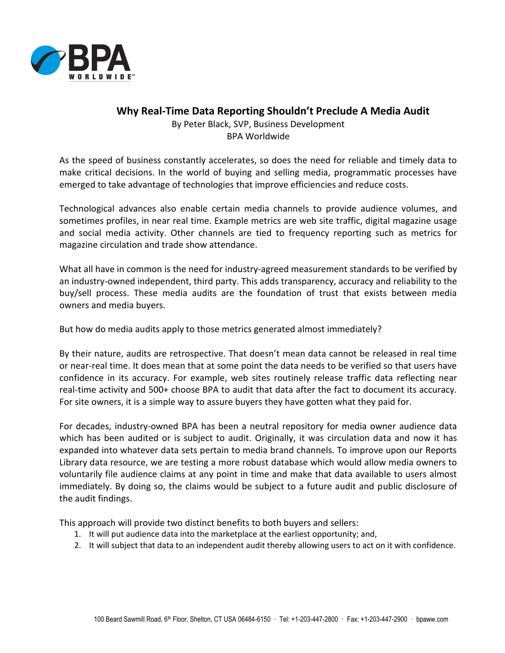

## **Why Real-Time Data Reporting Shouldn't Preclude A Media Audit**

By Peter Black, SVP, Business Development BPA Worldwide

As the speed of business constantly accelerates, so does the need for reliable and timely data to make critical decisions. In the world of buying and selling media, programmatic processes have emerged to take advantage of technologies that improve efficiencies and reduce costs.

Technological advances also enable certain media channels to provide audience volumes, and sometimes profiles, in near real time. Example metrics are web site traffic, digital magazine usage and social media activity. Other channels are tied to frequency reporting such as metrics for magazine circulation and trade show attendance.

What all have in common is the need for industry-agreed measurement standards to be verified by an industry-owned independent, third party. This adds transparency, accuracy and reliability to the buy/sell process. These media audits are the foundation of trust that exists between media owners and media buyers.

But how do media audits apply to those metrics generated almost immediately?

By their nature, audits are retrospective. That doesn't mean data cannot be released in real time or near-real time. It does mean that at some point the data needs to be verified so that users have confidence in its accuracy. For example, web sites routinely release traffic data reflecting near real-time activity and 500+ choose BPA to audit that data after the fact to document its accuracy. For site owners, it is a simple way to assure buyers they have gotten what they paid for.

For decades, industry-owned BPA has been a neutral repository for media owner audience data which has been audited or is subject to audit. Originally, it was circulation data and now it has expanded into whatever data sets pertain to media brand channels. To improve upon our Reports Library data resource, we are testing a more robust database which would allow media owners to voluntarily file audience claims at any point in time and make that data available to users almost immediately. By doing so, the claims would be subject to a future audit and public disclosure of the audit findings.

This approach will provide two distinct benefits to both buyers and sellers:

- 1. It will put audience data into the marketplace at the earliest opportunity; and,
- 2. It will subject that data to an independent audit thereby allowing users to act on it with confidence.